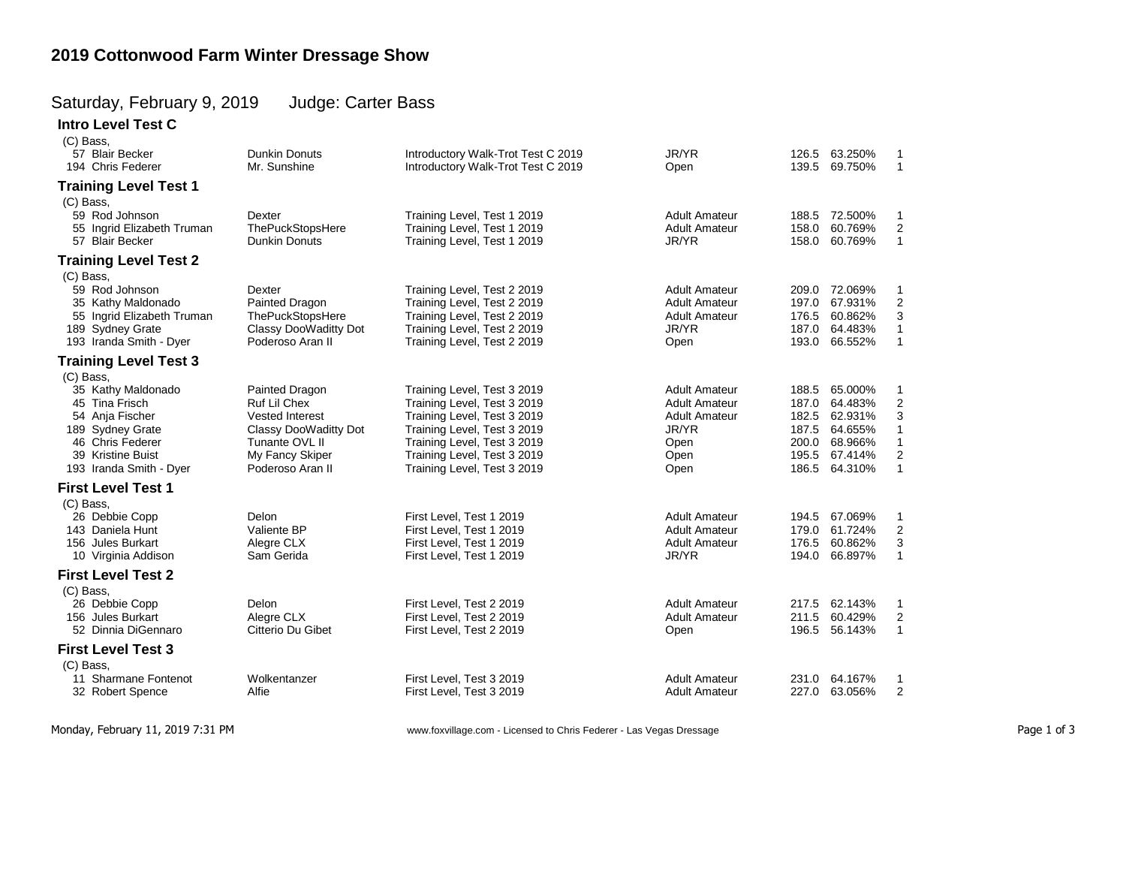## **2019 Cottonwood Farm Winter Dressage Show**

## Saturday, February 9, 2019 Judge: Carter Bass

**Intro Level Test C**  $(C)$  Bass

| (U) Dass,                                                                                                                                       |                                                                                                                                            |                                                                                                                                                                                                                       |                                                                                                       |                                                             |                                                                           |                                                                                                        |
|-------------------------------------------------------------------------------------------------------------------------------------------------|--------------------------------------------------------------------------------------------------------------------------------------------|-----------------------------------------------------------------------------------------------------------------------------------------------------------------------------------------------------------------------|-------------------------------------------------------------------------------------------------------|-------------------------------------------------------------|---------------------------------------------------------------------------|--------------------------------------------------------------------------------------------------------|
| 57 Blair Becker                                                                                                                                 | <b>Dunkin Donuts</b>                                                                                                                       | Introductory Walk-Trot Test C 2019                                                                                                                                                                                    | JR/YR                                                                                                 |                                                             | 126.5 63.250%                                                             | 1                                                                                                      |
| 194 Chris Federer                                                                                                                               | Mr. Sunshine                                                                                                                               | Introductory Walk-Trot Test C 2019                                                                                                                                                                                    | Open                                                                                                  | 139.5                                                       | 69.750%                                                                   | $\mathbf{1}$                                                                                           |
| <b>Training Level Test 1</b>                                                                                                                    |                                                                                                                                            |                                                                                                                                                                                                                       |                                                                                                       |                                                             |                                                                           |                                                                                                        |
| (C) Bass,<br>59 Rod Johnson<br>55 Ingrid Elizabeth Truman<br>57 Blair Becker                                                                    | Dexter<br><b>ThePuckStopsHere</b><br><b>Dunkin Donuts</b>                                                                                  | Training Level, Test 1 2019<br>Training Level, Test 1 2019<br>Training Level, Test 1 2019                                                                                                                             | <b>Adult Amateur</b><br><b>Adult Amateur</b><br>JR/YR                                                 | 158.0<br>158.0                                              | 188.5 72.500%<br>60.769%<br>60.769%                                       | 1<br>$\boldsymbol{2}$<br>$\mathbf{1}$                                                                  |
| <b>Training Level Test 2</b>                                                                                                                    |                                                                                                                                            |                                                                                                                                                                                                                       |                                                                                                       |                                                             |                                                                           |                                                                                                        |
| (C) Bass,                                                                                                                                       |                                                                                                                                            |                                                                                                                                                                                                                       |                                                                                                       |                                                             |                                                                           |                                                                                                        |
| 59 Rod Johnson<br>35 Kathy Maldonado<br>55 Ingrid Elizabeth Truman<br>189 Sydney Grate<br>193 Iranda Smith - Dyer                               | Dexter<br>Painted Dragon<br><b>ThePuckStopsHere</b><br>Classy DooWaditty Dot<br>Poderoso Aran II                                           | Training Level, Test 2 2019<br>Training Level, Test 2 2019<br>Training Level, Test 2 2019<br>Training Level, Test 2 2019<br>Training Level, Test 2 2019                                                               | <b>Adult Amateur</b><br><b>Adult Amateur</b><br><b>Adult Amateur</b><br>JR/YR<br>Open                 | 197.0<br>176.5<br>187.0                                     | 209.0 72.069%<br>67.931%<br>60.862%<br>64.483%<br>193.0 66.552%           | $\mathbf{1}$<br>$\boldsymbol{2}$<br>3<br>$\mathbf{1}$<br>$\mathbf{1}$                                  |
| <b>Training Level Test 3</b>                                                                                                                    |                                                                                                                                            |                                                                                                                                                                                                                       |                                                                                                       |                                                             |                                                                           |                                                                                                        |
| (C) Bass,                                                                                                                                       |                                                                                                                                            |                                                                                                                                                                                                                       |                                                                                                       |                                                             |                                                                           |                                                                                                        |
| 35 Kathy Maldonado<br>45 Tina Frisch<br>54 Anja Fischer<br>189 Sydney Grate<br>46 Chris Federer<br>39 Kristine Buist<br>193 Iranda Smith - Dyer | Painted Dragon<br>Ruf Lil Chex<br><b>Vested Interest</b><br>Classy DooWaditty Dot<br>Tunante OVL II<br>My Fancy Skiper<br>Poderoso Aran II | Training Level, Test 3 2019<br>Training Level, Test 3 2019<br>Training Level, Test 3 2019<br>Training Level, Test 3 2019<br>Training Level, Test 3 2019<br>Training Level, Test 3 2019<br>Training Level, Test 3 2019 | <b>Adult Amateur</b><br><b>Adult Amateur</b><br><b>Adult Amateur</b><br>JR/YR<br>Open<br>Open<br>Open | 188.5<br>187.0<br>182.5<br>187.5<br>200.0<br>195.5<br>186.5 | 65.000%<br>64.483%<br>62.931%<br>64.655%<br>68.966%<br>67.414%<br>64.310% | -1<br>$\overline{\mathbf{c}}$<br>3<br>$\mathbf{1}$<br>$\mathbf{1}$<br>$\boldsymbol{2}$<br>$\mathbf{1}$ |
| <b>First Level Test 1</b>                                                                                                                       |                                                                                                                                            |                                                                                                                                                                                                                       |                                                                                                       |                                                             |                                                                           |                                                                                                        |
| (C) Bass.                                                                                                                                       |                                                                                                                                            |                                                                                                                                                                                                                       |                                                                                                       |                                                             |                                                                           |                                                                                                        |
| 26 Debbie Copp<br>143 Daniela Hunt<br>156 Jules Burkart<br>10 Virginia Addison                                                                  | Delon<br>Valiente BP<br>Alegre CLX<br>Sam Gerida                                                                                           | First Level, Test 1 2019<br>First Level, Test 1 2019<br>First Level, Test 1 2019<br>First Level, Test 1 2019                                                                                                          | <b>Adult Amateur</b><br><b>Adult Amateur</b><br><b>Adult Amateur</b><br>JR/YR                         | 179.0<br>176.5<br>194.0                                     | 194.5 67.069%<br>61.724%<br>60.862%<br>66.897%                            | $\mathbf{1}$<br>$\overline{2}$<br>3<br>$\mathbf{1}$                                                    |
| <b>First Level Test 2</b>                                                                                                                       |                                                                                                                                            |                                                                                                                                                                                                                       |                                                                                                       |                                                             |                                                                           |                                                                                                        |
| (C) Bass,<br>26 Debbie Copp<br>156 Jules Burkart<br>52 Dinnia DiGennaro                                                                         | Delon<br>Alegre CLX<br>Citterio Du Gibet                                                                                                   | First Level, Test 2 2019<br>First Level, Test 2 2019<br>First Level, Test 2 2019                                                                                                                                      | <b>Adult Amateur</b><br><b>Adult Amateur</b><br>Open                                                  | 217.5<br>211.5<br>196.5                                     | 62.143%<br>60.429%<br>56.143%                                             | 1<br>$\overline{2}$<br>$\overline{1}$                                                                  |
| <b>First Level Test 3</b>                                                                                                                       |                                                                                                                                            |                                                                                                                                                                                                                       |                                                                                                       |                                                             |                                                                           |                                                                                                        |
| (C) Bass,                                                                                                                                       |                                                                                                                                            |                                                                                                                                                                                                                       |                                                                                                       |                                                             |                                                                           |                                                                                                        |
| 11 Sharmane Fontenot<br>32 Robert Spence                                                                                                        | Wolkentanzer<br>Alfie                                                                                                                      | First Level, Test 3 2019<br>First Level, Test 3 2019                                                                                                                                                                  | <b>Adult Amateur</b><br><b>Adult Amateur</b>                                                          | 231.0                                                       | 64.167%<br>227.0 63.056%                                                  | 1<br>$\overline{2}$                                                                                    |
|                                                                                                                                                 |                                                                                                                                            |                                                                                                                                                                                                                       |                                                                                                       |                                                             |                                                                           |                                                                                                        |

Monday, February 11, 2019 7:31 PM www.foxvillage.com - Licensed to Chris Federer - Las Vegas Dressage Page 1 of 3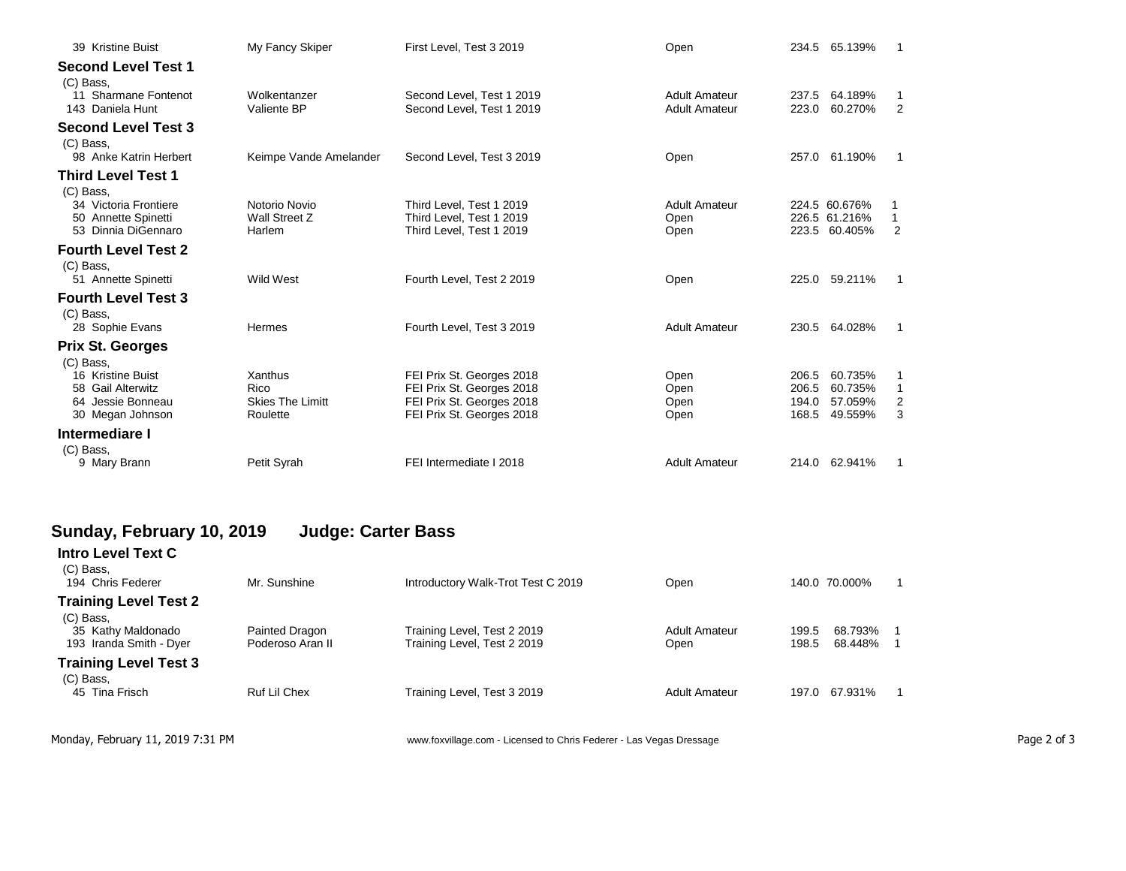| 39 Kristine Buist                          | My Fancy Skiper                 | First Level, Test 3 2019                               | Open                                         | 234.5          | 65.139%                        |                     |
|--------------------------------------------|---------------------------------|--------------------------------------------------------|----------------------------------------------|----------------|--------------------------------|---------------------|
| <b>Second Level Test 1</b><br>(C) Bass,    |                                 |                                                        |                                              |                |                                |                     |
| 11 Sharmane Fontenot<br>143 Daniela Hunt   | Wolkentanzer<br>Valiente BP     | Second Level. Test 1 2019<br>Second Level, Test 1 2019 | <b>Adult Amateur</b><br><b>Adult Amateur</b> | 237.5<br>223.0 | 64.189%<br>60.270%             | 1<br>$\overline{2}$ |
| <b>Second Level Test 3</b><br>(C) Bass.    |                                 |                                                        |                                              |                |                                |                     |
| 98 Anke Katrin Herbert                     | Keimpe Vande Amelander          | Second Level, Test 3 2019                              | Open                                         | 257.0          | 61.190%                        | 1                   |
| <b>Third Level Test 1</b><br>(C) Bass.     |                                 |                                                        |                                              |                |                                |                     |
| 34 Victoria Frontiere                      | Notorio Novio                   | Third Level, Test 1 2019                               | <b>Adult Amateur</b>                         |                | 224.5 60.676%                  |                     |
| 50 Annette Spinetti<br>53 Dinnia DiGennaro | Wall Street Z<br>Harlem         | Third Level. Test 1 2019<br>Third Level, Test 1 2019   | Open<br>Open                                 |                | 226.5 61.216%<br>223.5 60.405% | 2                   |
| <b>Fourth Level Test 2</b><br>(C) Bass,    |                                 |                                                        |                                              |                |                                |                     |
| 51 Annette Spinetti                        | Wild West                       | Fourth Level, Test 2 2019                              | Open                                         | 225.0          | 59.211%                        |                     |
| <b>Fourth Level Test 3</b><br>(C) Bass,    |                                 |                                                        |                                              |                |                                |                     |
| 28 Sophie Evans                            | Hermes                          | Fourth Level, Test 3 2019                              | <b>Adult Amateur</b>                         | 230.5          | 64.028%                        |                     |
| <b>Prix St. Georges</b><br>(C) Bass,       |                                 |                                                        |                                              |                |                                |                     |
| 16 Kristine Buist                          | Xanthus                         | FEI Prix St. Georges 2018                              | Open                                         | 206.5          | 60.735%                        |                     |
| 58 Gail Alterwitz<br>64 Jessie Bonneau     | Rico<br><b>Skies The Limitt</b> | FEI Prix St. Georges 2018<br>FEI Prix St. Georges 2018 | Open<br>Open                                 | 206.5<br>194.0 | 60.735%<br>57.059%             | $\mathbf{1}$<br>2   |
| 30 Megan Johnson                           | Roulette                        | FEI Prix St. Georges 2018                              | Open                                         | 168.5          | 49.559%                        | 3                   |
| Intermediare I<br>(C) Bass,                |                                 |                                                        |                                              |                |                                |                     |
| 9 Mary Brann                               | Petit Syrah                     | FEI Intermediate I 2018                                | <b>Adult Amateur</b>                         |                | 214.0 62.941%                  |                     |

## **Sunday, February 10, 2019 Judge: Carter Bass**

| <b>Intro Level Text C</b><br>(C) Bass,<br>194 Chris Federer                                | Mr. Sunshine                       | Introductory Walk-Trot Test C 2019                         | Open                  | 140.0 70.000%                                    |
|--------------------------------------------------------------------------------------------|------------------------------------|------------------------------------------------------------|-----------------------|--------------------------------------------------|
| <b>Training Level Test 2</b><br>(C) Bass,<br>35 Kathy Maldonado<br>193 Iranda Smith - Dyer | Painted Dragon<br>Poderoso Aran II | Training Level, Test 2 2019<br>Training Level, Test 2 2019 | Adult Amateur<br>Open | 68.793%<br>199.5<br>-1<br>68.448%<br>198.5<br>-1 |
| <b>Training Level Test 3</b><br>(C) Bass,<br>45 Tina Frisch                                | Ruf Lil Chex                       | Training Level, Test 3 2019                                | <b>Adult Amateur</b>  | 67.931%<br>197.0                                 |

Monday, February 11, 2019 7:31 PM **Page 2 of 3** www.foxvillage.com - Licensed to Chris Federer - Las Vegas Dressage